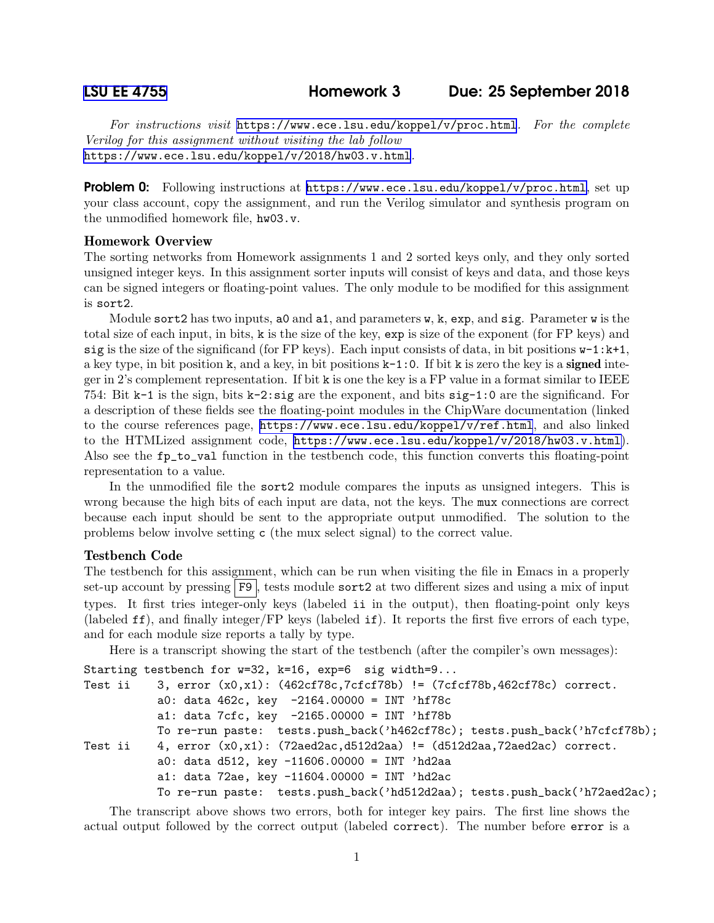For instructions visit <https://www.ece.lsu.edu/koppel/v/proc.html>. For the complete Verilog for this assignment without visiting the lab follow <https://www.ece.lsu.edu/koppel/v/2018/hw03.v.html>.

**Problem 0:** Following instructions at <https://www.ece.lsu.edu/koppel/v/proc.html>, set up your class account, copy the assignment, and run the Verilog simulator and synthesis program on the unmodified homework file, hw03.v.

## Homework Overview

The sorting networks from Homework assignments 1 and 2 sorted keys only, and they only sorted unsigned integer keys. In this assignment sorter inputs will consist of keys and data, and those keys can be signed integers or floating-point values. The only module to be modified for this assignment is sort2.

Module sort 2 has two inputs, ao and a1, and parameters  $w$ ,  $k$ ,  $exp$ , and  $sig$ . Parameter  $w$  is the total size of each input, in bits, k is the size of the key, exp is size of the exponent (for FP keys) and sig is the size of the significand (for FP keys). Each input consists of data, in bit positions  $w-1:k+1$ , a key type, in bit position k, and a key, in bit positions  $k-1:0$ . If bit k is zero the key is a **signed** integer in 2's complement representation. If bit k is one the key is a FP value in a format similar to IEEE 754: Bit k-1 is the sign, bits k-2:sig are the exponent, and bits sig-1:0 are the significand. For a description of these fields see the floating-point modules in the ChipWare documentation (linked to the course references page, <https://www.ece.lsu.edu/koppel/v/ref.html>, and also linked to the HTMLized assignment code, <https://www.ece.lsu.edu/koppel/v/2018/hw03.v.html>). Also see the fp\_to\_val function in the testbench code, this function converts this floating-point representation to a value.

In the unmodified file the sort2 module compares the inputs as unsigned integers. This is wrong because the high bits of each input are data, not the keys. The mux connections are correct because each input should be sent to the appropriate output unmodified. The solution to the problems below involve setting c (the mux select signal) to the correct value.

# Testbench Code

The testbench for this assignment, which can be run when visiting the file in Emacs in a properly set-up account by pressing F9, tests module sort2 at two different sizes and using a mix of input types. It first tries integer-only keys (labeled ii in the output), then floating-point only keys (labeled ff), and finally integer/FP keys (labeled if). It reports the first five errors of each type, and for each module size reports a tally by type.

Here is a transcript showing the start of the testbench (after the compiler's own messages):

```
Starting testbench for w=32, k=16, exp=6 sig width=9...
Test ii 3, error (x0,x1): (462cf78c,7cfcf78b) != (7cfcf78b,462cf78c) correct.
          a0: data 462c, key -2164.00000 = INT 'hf78ca1: data 7cfc, key -2165.00000 = INT 'hf78bTo re-run paste: tests.push_back('h462cf78c); tests.push_back('h7cfcf78b);
Test ii 4, error (x0, x1): (72aed2ac, d512d2aa) != (d512d2aa, 72aed2ac) correct.
          a0: data d512, key -11606.00000 = INT 'hd2aa
          a1: data 72ae, key -11604.00000 = INT 'hd2ac
          To re-run paste: tests.push_back('hd512d2aa); tests.push_back('h72aed2ac);
```
The transcript above shows two errors, both for integer key pairs. The first line shows the actual output followed by the correct output (labeled correct). The number before error is a